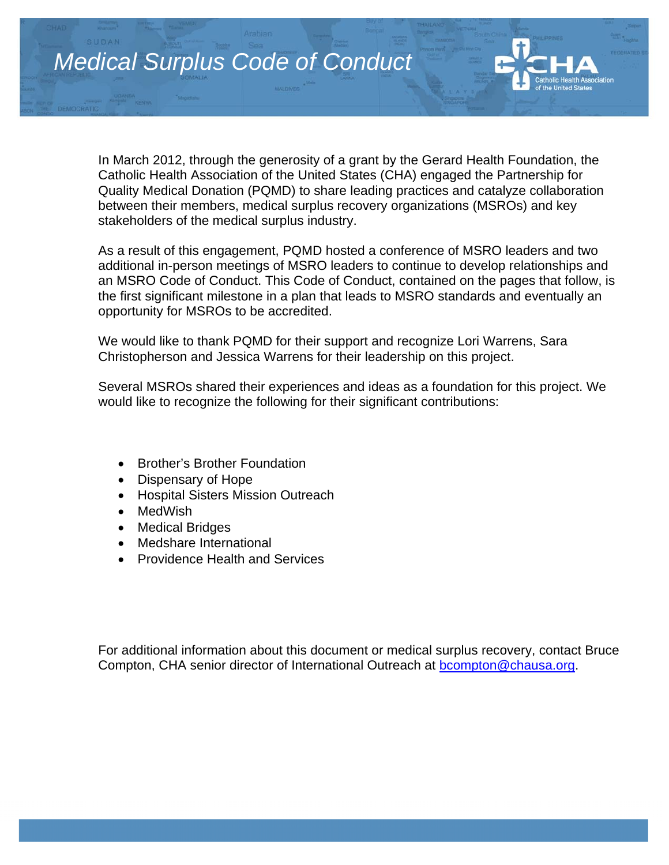

In March 2012, through the generosity of a grant by the Gerard Health Foundation, the Catholic Health Association of the United States (CHA) engaged the Partnership for Quality Medical Donation (PQMD) to share leading practices and catalyze collaboration between their members, medical surplus recovery organizations (MSROs) and key stakeholders of the medical surplus industry.

As a result of this engagement, PQMD hosted a conference of MSRO leaders and two additional in-person meetings of MSRO leaders to continue to develop relationships and an MSRO Code of Conduct. This Code of Conduct, contained on the pages that follow, is the first significant milestone in a plan that leads to MSRO standards and eventually an opportunity for MSROs to be accredited.

We would like to thank PQMD for their support and recognize Lori Warrens, Sara Christopherson and Jessica Warrens for their leadership on this project.

Several MSROs shared their experiences and ideas as a foundation for this project. We would like to recognize the following for their significant contributions:

- Brother's Brother Foundation
- Dispensary of Hope
- Hospital Sisters Mission Outreach
- MedWish
- Medical Bridges
- Medshare International
- Providence Health and Services

For additional information about this document or medical surplus recovery, contact Bruce Compton, CHA senior director of International Outreach at bcompton@chausa.org.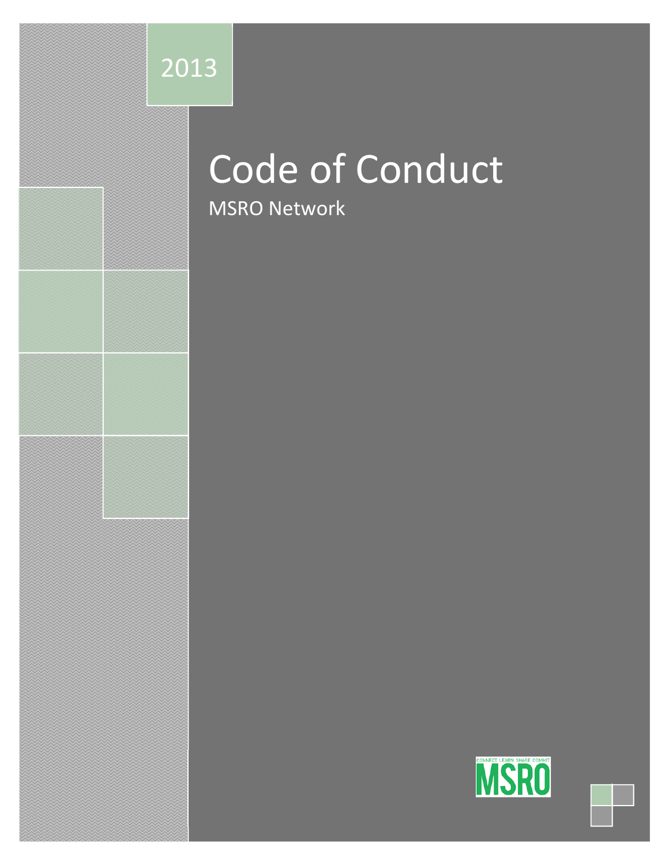

# Code of Conduct

MSRO Network

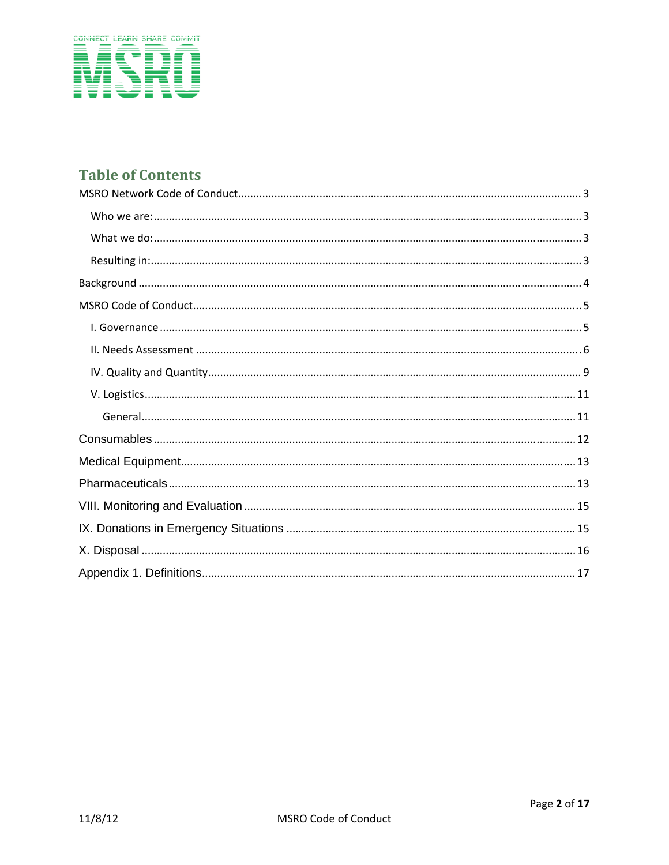

# **Table of Contents**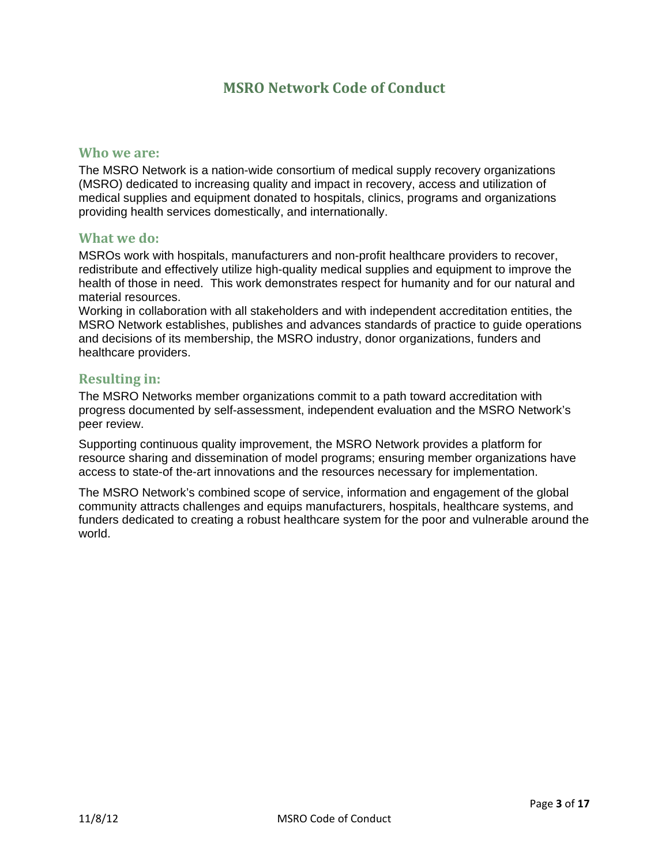# **MSRO Network Code of Conduct**

#### **Who we are:**

The MSRO Network is a nation-wide consortium of medical supply recovery organizations (MSRO) dedicated to increasing quality and impact in recovery, access and utilization of medical supplies and equipment donated to hospitals, clinics, programs and organizations providing health services domestically, and internationally.

#### **What we do:**

MSROs work with hospitals, manufacturers and non-profit healthcare providers to recover, redistribute and effectively utilize high-quality medical supplies and equipment to improve the health of those in need. This work demonstrates respect for humanity and for our natural and material resources.

Working in collaboration with all stakeholders and with independent accreditation entities, the MSRO Network establishes, publishes and advances standards of practice to guide operations and decisions of its membership, the MSRO industry, donor organizations, funders and healthcare providers.

#### **Resulting in:**

The MSRO Networks member organizations commit to a path toward accreditation with progress documented by self-assessment, independent evaluation and the MSRO Network's peer review.

Supporting continuous quality improvement, the MSRO Network provides a platform for resource sharing and dissemination of model programs; ensuring member organizations have access to state-of the-art innovations and the resources necessary for implementation.

The MSRO Network's combined scope of service, information and engagement of the global community attracts challenges and equips manufacturers, hospitals, healthcare systems, and funders dedicated to creating a robust healthcare system for the poor and vulnerable around the world.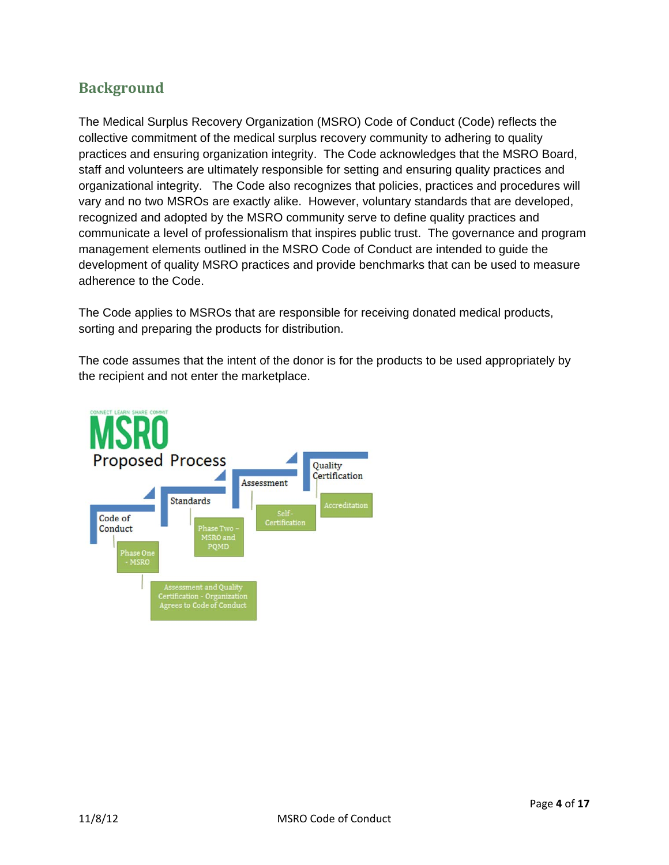# **Background**

The Medical Surplus Recovery Organization (MSRO) Code of Conduct (Code) reflects the collective commitment of the medical surplus recovery community to adhering to quality practices and ensuring organization integrity. The Code acknowledges that the MSRO Board, staff and volunteers are ultimately responsible for setting and ensuring quality practices and organizational integrity. The Code also recognizes that policies, practices and procedures will vary and no two MSROs are exactly alike. However, voluntary standards that are developed, recognized and adopted by the MSRO community serve to define quality practices and communicate a level of professionalism that inspires public trust. The governance and program management elements outlined in the MSRO Code of Conduct are intended to guide the development of quality MSRO practices and provide benchmarks that can be used to measure adherence to the Code.

The Code applies to MSROs that are responsible for receiving donated medical products, sorting and preparing the products for distribution.

The code assumes that the intent of the donor is for the products to be used appropriately by the recipient and not enter the marketplace.

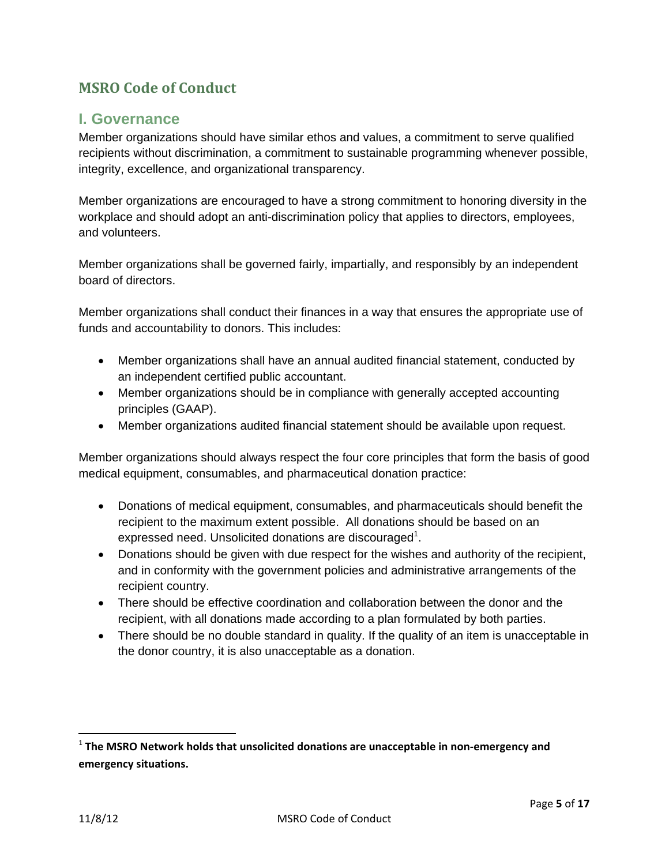# **MSRO Code of Conduct**

## **I. Governance**

Member organizations should have similar ethos and values, a commitment to serve qualified recipients without discrimination, a commitment to sustainable programming whenever possible, integrity, excellence, and organizational transparency.

Member organizations are encouraged to have a strong commitment to honoring diversity in the workplace and should adopt an anti-discrimination policy that applies to directors, employees, and volunteers.

Member organizations shall be governed fairly, impartially, and responsibly by an independent board of directors.

Member organizations shall conduct their finances in a way that ensures the appropriate use of funds and accountability to donors. This includes:

- Member organizations shall have an annual audited financial statement, conducted by an independent certified public accountant.
- Member organizations should be in compliance with generally accepted accounting principles (GAAP).
- Member organizations audited financial statement should be available upon request.

Member organizations should always respect the four core principles that form the basis of good medical equipment, consumables, and pharmaceutical donation practice:

- Donations of medical equipment, consumables, and pharmaceuticals should benefit the recipient to the maximum extent possible. All donations should be based on an expressed need. Unsolicited donations are discouraged<sup>1</sup>.
- Donations should be given with due respect for the wishes and authority of the recipient, and in conformity with the government policies and administrative arrangements of the recipient country.
- There should be effective coordination and collaboration between the donor and the recipient, with all donations made according to a plan formulated by both parties.
- There should be no double standard in quality. If the quality of an item is unacceptable in the donor country, it is also unacceptable as a donation.

<sup>1</sup> **The MSRO Network holds that unsolicited donations are unacceptable in non‐emergency and emergency situations.**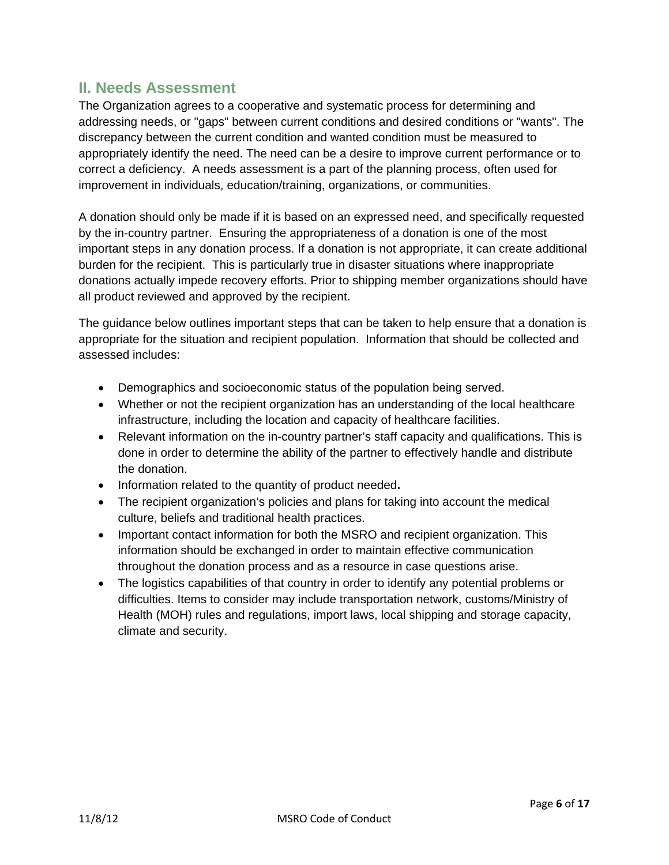# **II. Needs Assessment**

The Organization agrees to a cooperative and systematic process for determining and addressing needs, or "gaps" between current conditions and desired conditions or "wants". The discrepancy between the current condition and wanted condition must be measured to appropriately identify the need. The need can be a desire to improve current performance or to correct a deficiency. A needs assessment is a part of the planning process, often used for improvement in individuals, education/training, organizations, or communities.

A donation should only be made if it is based on an expressed need, and specifically requested by the in-country partner. Ensuring the appropriateness of a donation is one of the most important steps in any donation process. If a donation is not appropriate, it can create additional burden for the recipient. This is particularly true in disaster situations where inappropriate donations actually impede recovery efforts. Prior to shipping member organizations should have all product reviewed and approved by the recipient.

The guidance below outlines important steps that can be taken to help ensure that a donation is appropriate for the situation and recipient population. Information that should be collected and assessed includes:

- Demographics and socioeconomic status of the population being served.
- Whether or not the recipient organization has an understanding of the local healthcare infrastructure, including the location and capacity of healthcare facilities.
- Relevant information on the in-country partner's staff capacity and qualifications. This is done in order to determine the ability of the partner to effectively handle and distribute the donation.
- Information related to the quantity of product needed**.**
- The recipient organization's policies and plans for taking into account the medical culture, beliefs and traditional health practices.
- Important contact information for both the MSRO and recipient organization. This information should be exchanged in order to maintain effective communication throughout the donation process and as a resource in case questions arise.
- The logistics capabilities of that country in order to identify any potential problems or difficulties. Items to consider may include transportation network, customs/Ministry of Health (MOH) rules and regulations, import laws, local shipping and storage capacity, climate and security.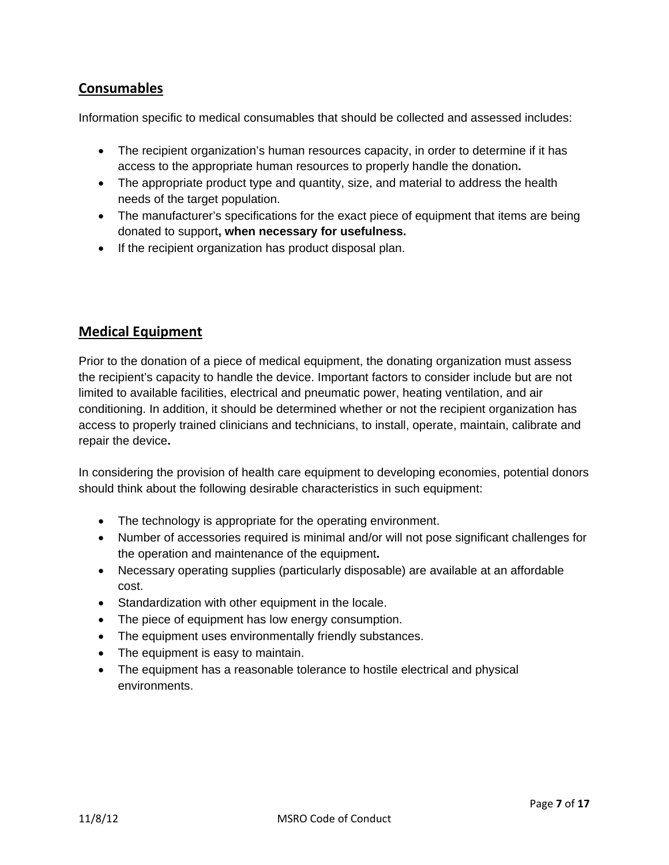# **Consumables**

Information specific to medical consumables that should be collected and assessed includes:

- The recipient organization's human resources capacity, in order to determine if it has access to the appropriate human resources to properly handle the donation**.**
- The appropriate product type and quantity, size, and material to address the health needs of the target population.
- The manufacturer's specifications for the exact piece of equipment that items are being donated to support**, when necessary for usefulness.**
- If the recipient organization has product disposal plan.

## **Medical Equipment**

Prior to the donation of a piece of medical equipment, the donating organization must assess the recipient's capacity to handle the device. Important factors to consider include but are not limited to available facilities, electrical and pneumatic power, heating ventilation, and air conditioning. In addition, it should be determined whether or not the recipient organization has access to properly trained clinicians and technicians, to install, operate, maintain, calibrate and repair the device**.** 

In considering the provision of health care equipment to developing economies, potential donors should think about the following desirable characteristics in such equipment:

- The technology is appropriate for the operating environment.
- Number of accessories required is minimal and/or will not pose significant challenges for the operation and maintenance of the equipment**.**
- Necessary operating supplies (particularly disposable) are available at an affordable cost.
- Standardization with other equipment in the locale.
- The piece of equipment has low energy consumption.
- The equipment uses environmentally friendly substances.
- The equipment is easy to maintain.
- The equipment has a reasonable tolerance to hostile electrical and physical environments.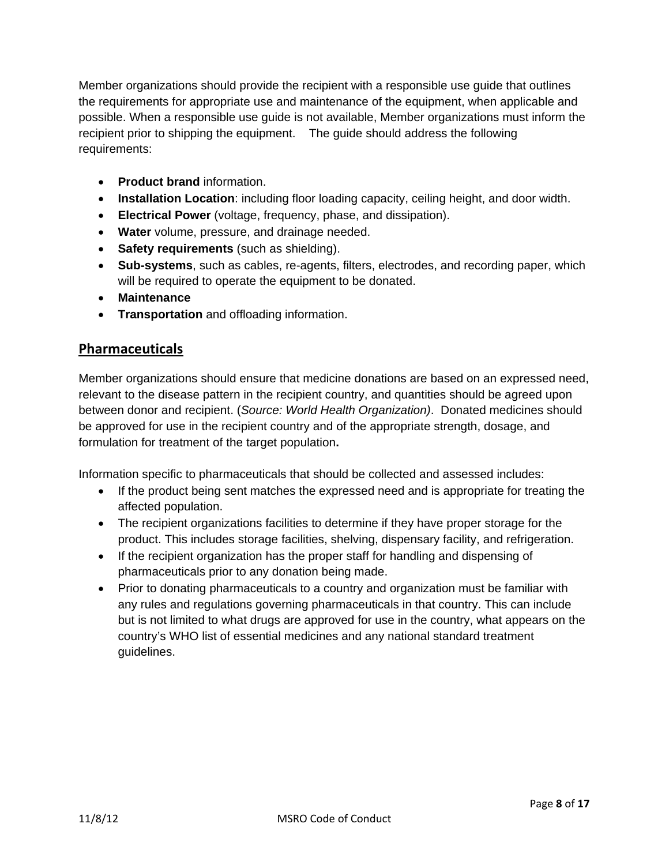Member organizations should provide the recipient with a responsible use guide that outlines the requirements for appropriate use and maintenance of the equipment, when applicable and possible. When a responsible use guide is not available, Member organizations must inform the recipient prior to shipping the equipment. The guide should address the following requirements:

- **Product brand** information.
- **Installation Location**: including floor loading capacity, ceiling height, and door width.
- **Electrical Power** (voltage, frequency, phase, and dissipation).
- **Water** volume, pressure, and drainage needed.
- **Safety requirements** (such as shielding).
- **Sub-systems**, such as cables, re-agents, filters, electrodes, and recording paper, which will be required to operate the equipment to be donated.
- **Maintenance**
- **Transportation** and offloading information.

#### **Pharmaceuticals**

Member organizations should ensure that medicine donations are based on an expressed need, relevant to the disease pattern in the recipient country, and quantities should be agreed upon between donor and recipient. (*Source: World Health Organization)*. Donated medicines should be approved for use in the recipient country and of the appropriate strength, dosage, and formulation for treatment of the target population**.** 

Information specific to pharmaceuticals that should be collected and assessed includes:

- If the product being sent matches the expressed need and is appropriate for treating the affected population.
- The recipient organizations facilities to determine if they have proper storage for the product. This includes storage facilities, shelving, dispensary facility, and refrigeration.
- If the recipient organization has the proper staff for handling and dispensing of pharmaceuticals prior to any donation being made.
- Prior to donating pharmaceuticals to a country and organization must be familiar with any rules and regulations governing pharmaceuticals in that country. This can include but is not limited to what drugs are approved for use in the country, what appears on the country's WHO list of essential medicines and any national standard treatment guidelines.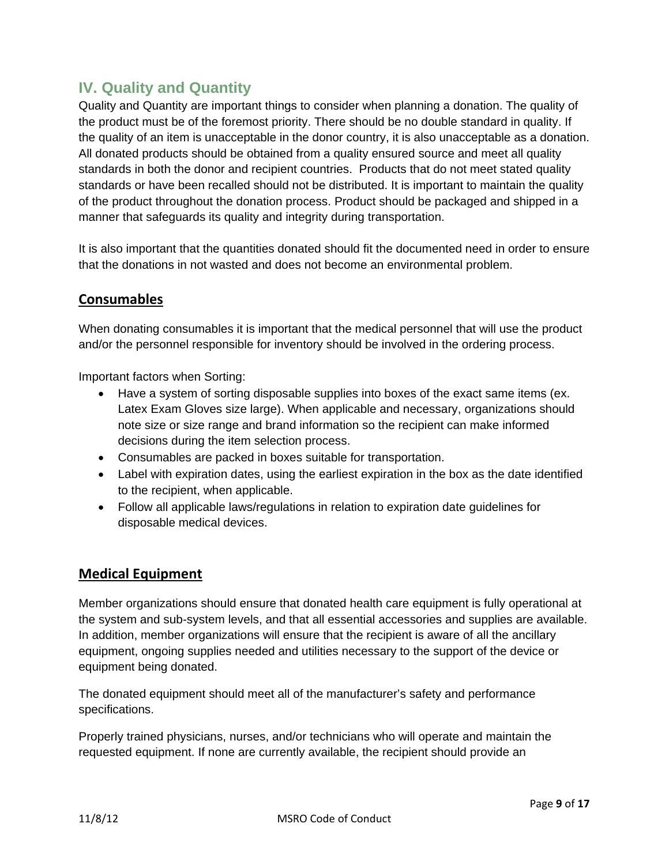# **IV. Quality and Quantity**

Quality and Quantity are important things to consider when planning a donation. The quality of the product must be of the foremost priority. There should be no double standard in quality. If the quality of an item is unacceptable in the donor country, it is also unacceptable as a donation. All donated products should be obtained from a quality ensured source and meet all quality standards in both the donor and recipient countries. Products that do not meet stated quality standards or have been recalled should not be distributed. It is important to maintain the quality of the product throughout the donation process. Product should be packaged and shipped in a manner that safeguards its quality and integrity during transportation.

It is also important that the quantities donated should fit the documented need in order to ensure that the donations in not wasted and does not become an environmental problem.

#### **Consumables**

When donating consumables it is important that the medical personnel that will use the product and/or the personnel responsible for inventory should be involved in the ordering process.

Important factors when Sorting:

- Have a system of sorting disposable supplies into boxes of the exact same items (ex. Latex Exam Gloves size large). When applicable and necessary, organizations should note size or size range and brand information so the recipient can make informed decisions during the item selection process.
- Consumables are packed in boxes suitable for transportation.
- Label with expiration dates, using the earliest expiration in the box as the date identified to the recipient, when applicable.
- Follow all applicable laws/regulations in relation to expiration date guidelines for disposable medical devices.

#### **Medical Equipment**

Member organizations should ensure that donated health care equipment is fully operational at the system and sub-system levels, and that all essential accessories and supplies are available. In addition, member organizations will ensure that the recipient is aware of all the ancillary equipment, ongoing supplies needed and utilities necessary to the support of the device or equipment being donated.

The donated equipment should meet all of the manufacturer's safety and performance specifications.

Properly trained physicians, nurses, and/or technicians who will operate and maintain the requested equipment. If none are currently available, the recipient should provide an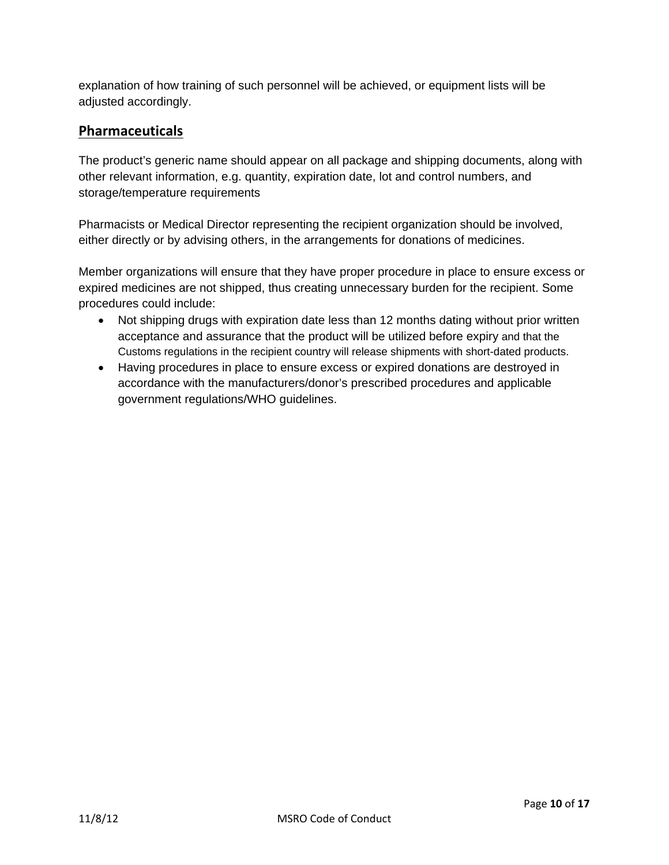explanation of how training of such personnel will be achieved, or equipment lists will be adjusted accordingly.

# **Pharmaceuticals**

The product's generic name should appear on all package and shipping documents, along with other relevant information, e.g. quantity, expiration date, lot and control numbers, and storage/temperature requirements

Pharmacists or Medical Director representing the recipient organization should be involved, either directly or by advising others, in the arrangements for donations of medicines.

Member organizations will ensure that they have proper procedure in place to ensure excess or expired medicines are not shipped, thus creating unnecessary burden for the recipient. Some procedures could include:

- Not shipping drugs with expiration date less than 12 months dating without prior written acceptance and assurance that the product will be utilized before expiry and that the Customs regulations in the recipient country will release shipments with short-dated products.
- Having procedures in place to ensure excess or expired donations are destroyed in accordance with the manufacturers/donor's prescribed procedures and applicable government regulations/WHO guidelines.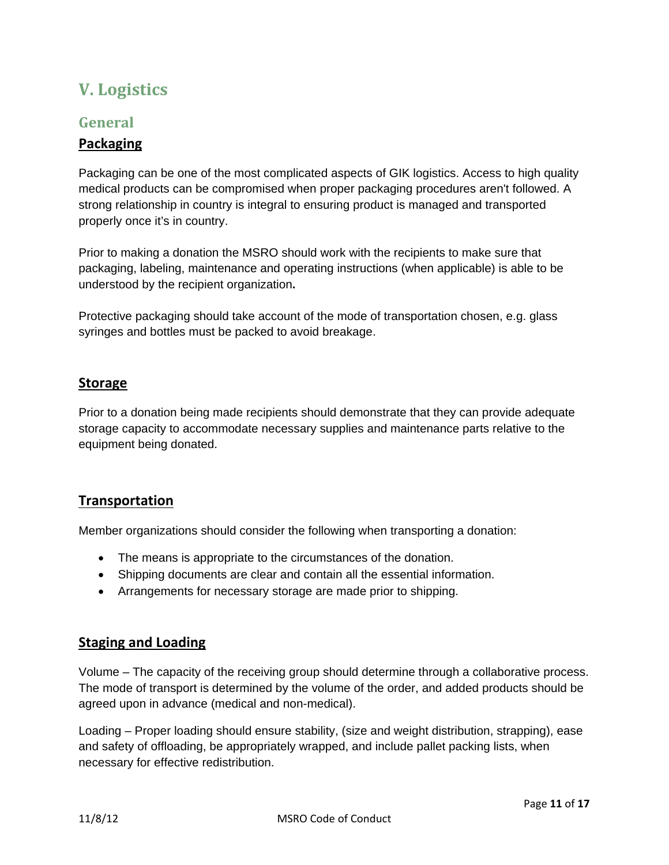# **V. Logistics**

# **General**

#### **Packaging**

Packaging can be one of the most complicated aspects of GIK logistics. Access to high quality medical products can be compromised when proper packaging procedures aren't followed. A strong relationship in country is integral to ensuring product is managed and transported properly once it's in country.

Prior to making a donation the MSRO should work with the recipients to make sure that packaging, labeling, maintenance and operating instructions (when applicable) is able to be understood by the recipient organization**.** 

Protective packaging should take account of the mode of transportation chosen, e.g. glass syringes and bottles must be packed to avoid breakage.

#### **Storage**

Prior to a donation being made recipients should demonstrate that they can provide adequate storage capacity to accommodate necessary supplies and maintenance parts relative to the equipment being donated.

#### **Transportation**

Member organizations should consider the following when transporting a donation:

- The means is appropriate to the circumstances of the donation.
- Shipping documents are clear and contain all the essential information.
- Arrangements for necessary storage are made prior to shipping.

#### **Staging and Loading**

Volume – The capacity of the receiving group should determine through a collaborative process. The mode of transport is determined by the volume of the order, and added products should be agreed upon in advance (medical and non-medical).

Loading – Proper loading should ensure stability, (size and weight distribution, strapping), ease and safety of offloading, be appropriately wrapped, and include pallet packing lists, when necessary for effective redistribution.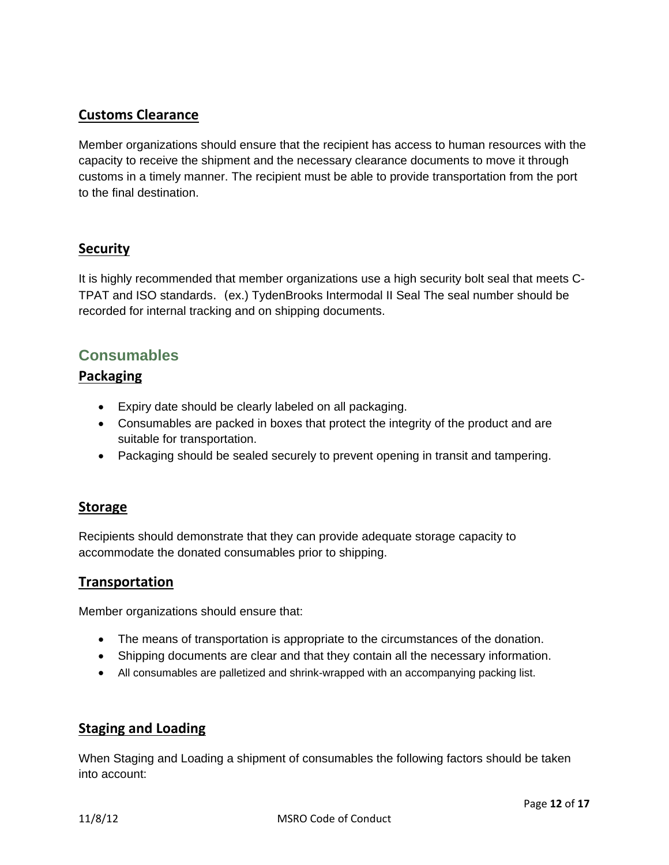#### **Customs Clearance**

Member organizations should ensure that the recipient has access to human resources with the capacity to receive the shipment and the necessary clearance documents to move it through customs in a timely manner. The recipient must be able to provide transportation from the port to the final destination.

#### **Security**

It is highly recommended that member organizations use a high security bolt seal that meets C-TPAT and ISO standards. (ex.) TydenBrooks Intermodal II Seal The seal number should be recorded for internal tracking and on shipping documents.

# **Consumables**

#### **Packaging**

- Expiry date should be clearly labeled on all packaging.
- Consumables are packed in boxes that protect the integrity of the product and are suitable for transportation.
- Packaging should be sealed securely to prevent opening in transit and tampering.

#### **Storage**

Recipients should demonstrate that they can provide adequate storage capacity to accommodate the donated consumables prior to shipping.

#### **Transportation**

Member organizations should ensure that:

- The means of transportation is appropriate to the circumstances of the donation.
- Shipping documents are clear and that they contain all the necessary information.
- All consumables are palletized and shrink-wrapped with an accompanying packing list.

#### **Staging and Loading**

When Staging and Loading a shipment of consumables the following factors should be taken into account: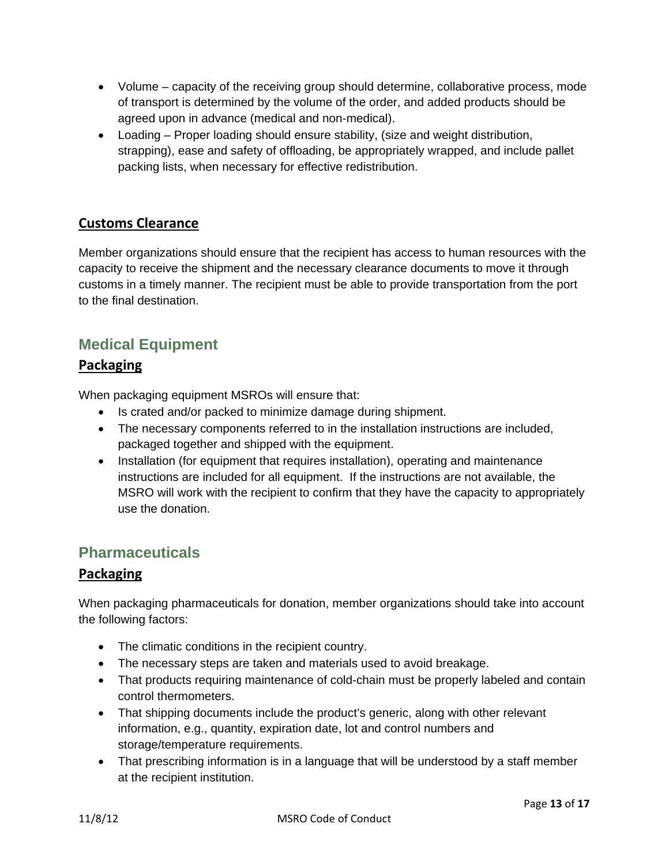- Volume capacity of the receiving group should determine, collaborative process, mode of transport is determined by the volume of the order, and added products should be agreed upon in advance (medical and non-medical).
- Loading Proper loading should ensure stability, (size and weight distribution, strapping), ease and safety of offloading, be appropriately wrapped, and include pallet packing lists, when necessary for effective redistribution.

# **Customs Clearance**

Member organizations should ensure that the recipient has access to human resources with the capacity to receive the shipment and the necessary clearance documents to move it through customs in a timely manner. The recipient must be able to provide transportation from the port to the final destination.

# **Medical Equipment**

## **Packaging**

When packaging equipment MSROs will ensure that:

- Is crated and/or packed to minimize damage during shipment.
- The necessary components referred to in the installation instructions are included, packaged together and shipped with the equipment.
- Installation (for equipment that requires installation), operating and maintenance instructions are included for all equipment. If the instructions are not available, the MSRO will work with the recipient to confirm that they have the capacity to appropriately use the donation.

# **Pharmaceuticals**

#### **Packaging**

When packaging pharmaceuticals for donation, member organizations should take into account the following factors:

- The climatic conditions in the recipient country.
- The necessary steps are taken and materials used to avoid breakage.
- That products requiring maintenance of cold-chain must be properly labeled and contain control thermometers.
- That shipping documents include the product's generic, along with other relevant information, e.g., quantity, expiration date, lot and control numbers and storage/temperature requirements.
- That prescribing information is in a language that will be understood by a staff member at the recipient institution.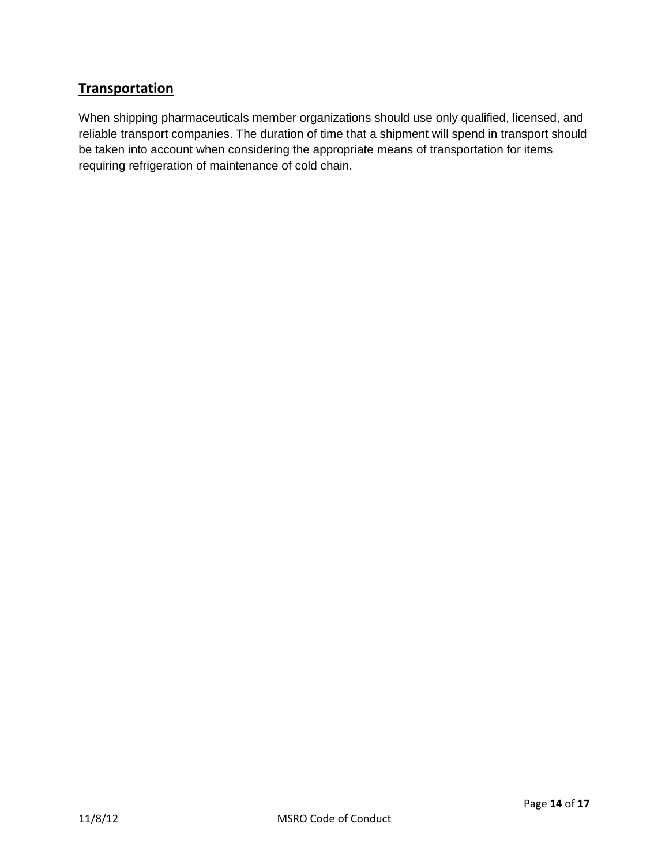# **Transportation**

When shipping pharmaceuticals member organizations should use only qualified, licensed, and reliable transport companies. The duration of time that a shipment will spend in transport should be taken into account when considering the appropriate means of transportation for items requiring refrigeration of maintenance of cold chain.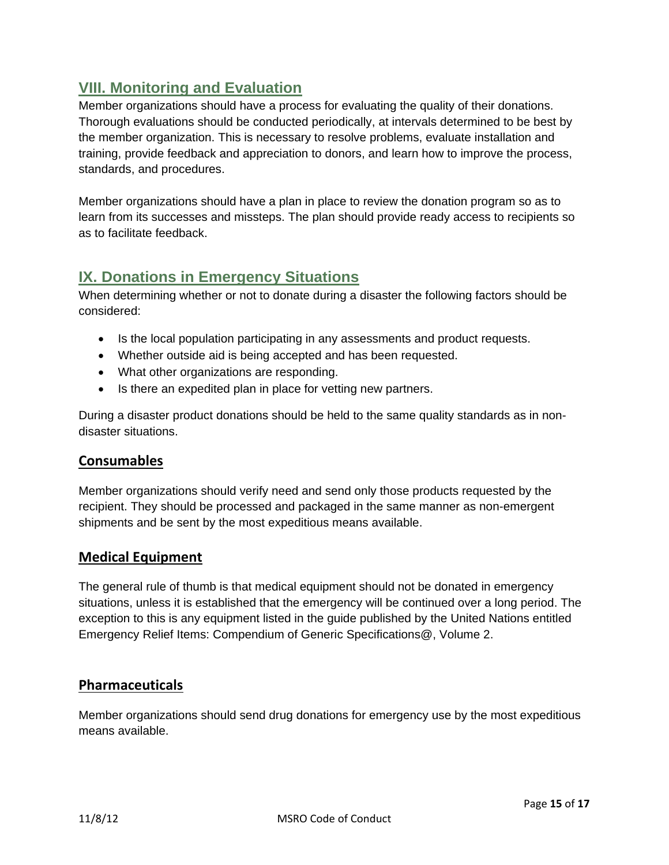# **VIII. Monitoring and Evaluation**

Member organizations should have a process for evaluating the quality of their donations. Thorough evaluations should be conducted periodically, at intervals determined to be best by the member organization. This is necessary to resolve problems, evaluate installation and training, provide feedback and appreciation to donors, and learn how to improve the process, standards, and procedures.

Member organizations should have a plan in place to review the donation program so as to learn from its successes and missteps. The plan should provide ready access to recipients so as to facilitate feedback.

# **IX. Donations in Emergency Situations**

When determining whether or not to donate during a disaster the following factors should be considered:

- Is the local population participating in any assessments and product requests.
- Whether outside aid is being accepted and has been requested.
- What other organizations are responding.
- Is there an expedited plan in place for vetting new partners.

During a disaster product donations should be held to the same quality standards as in nondisaster situations.

#### **Consumables**

Member organizations should verify need and send only those products requested by the recipient. They should be processed and packaged in the same manner as non-emergent shipments and be sent by the most expeditious means available.

#### **Medical Equipment**

The general rule of thumb is that medical equipment should not be donated in emergency situations, unless it is established that the emergency will be continued over a long period. The exception to this is any equipment listed in the guide published by the United Nations entitled Emergency Relief Items: Compendium of Generic Specifications@, Volume 2.

#### **Pharmaceuticals**

Member organizations should send drug donations for emergency use by the most expeditious means available.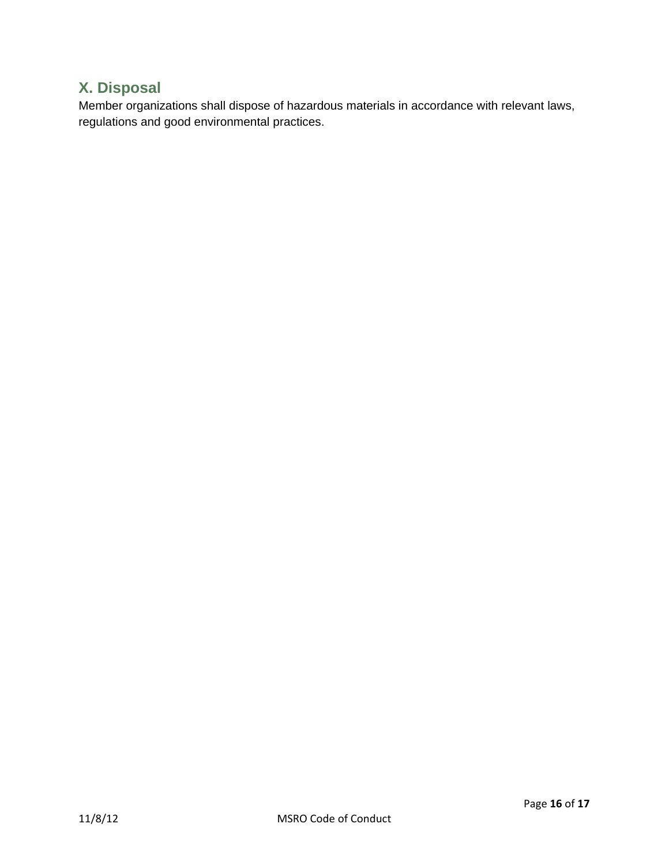# **X. Disposal**

Member organizations shall dispose of hazardous materials in accordance with relevant laws, regulations and good environmental practices.